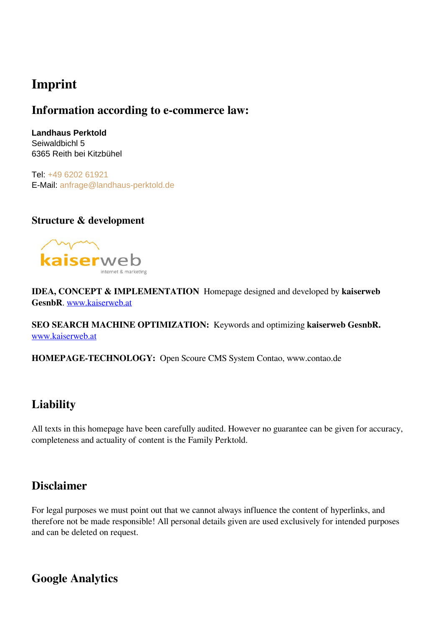## **Imprint**

#### **Information according to e-commerce law:**

**Landhaus Perktold** Seiwaldbichl 5 6365 Reith bei Kitzbühel

Tel: [+49 6202 61921](tel:+49620261921) E-Mail: [anfrage@landhaus-perktold.de](mailto:anfrage@landhaus-perktold.de)

#### **Structure & development**



**IDEA, CONCEPT & IMPLEMENTATION** Homepage designed and developed by **kaiserweb GesnbR**. [www.kaiserweb.at](https://www.kaiserweb.at/index.php/webseitenoptimierung-suchmaschinenoptimierung-tirol.html)

**SEO SEARCH MACHINE OPTIMIZATION:** Keywords and optimizing **kaiserweb GesnbR.** [www.kaiserweb.at](https://www.kaiserweb.at/index.php/google-ranking-verbessern.html)

**HOMEPAGE-TECHNOLOGY:** Open Scoure CMS System Contao, www.contao.de

### **Liability**

All texts in this homepage have been carefully audited. However no guarantee can be given for accuracy, completeness and actuality of content is the Family Perktold.

### **Disclaimer**

For legal purposes we must point out that we cannot always influence the content of hyperlinks, and therefore not be made responsible! All personal details given are used exclusively for intended purposes and can be deleted on request.

**Google Analytics**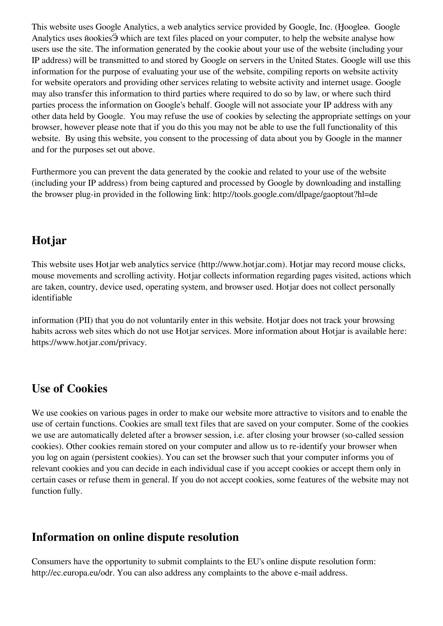This website uses Google Analytics, a web analytics service provided by Google, Inc. (Ӈoogleө. Google Analytics uses ӣookiesӬ which are text files placed on your computer, to help the website analyse how users use the site. The information generated by the cookie about your use of the website (including your IP address) will be transmitted to and stored by Google on servers in the United States. Google will use this information for the purpose of evaluating your use of the website, compiling reports on website activity for website operators and providing other services relating to website activity and internet usage. Google may also transfer this information to third parties where required to do so by law, or where such third parties process the information on Google's behalf. Google will not associate your IP address with any other data held by Google. You may refuse the use of cookies by selecting the appropriate settings on your browser, however please note that if you do this you may not be able to use the full functionality of this website. By using this website, you consent to the processing of data about you by Google in the manner and for the purposes set out above.

Furthermore you can prevent the data generated by the cookie and related to your use of the website (including your IP address) from being captured and processed by Google by downloading and installing the browser plug-in provided in the following link: http://tools.google.com/dlpage/gaoptout?hl=de

### **Hotjar**

This website uses Hotjar web analytics service (http://www.hotjar.com). Hotjar may record mouse clicks, mouse movements and scrolling activity. Hotjar collects information regarding pages visited, actions which are taken, country, device used, operating system, and browser used. Hotjar does not collect personally identifiable

information (PII) that you do not voluntarily enter in this website. Hotjar does not track your browsing habits across web sites which do not use Hotjar services. More information about Hotjar is available here: https://www.hotjar.com/privacy.

### **Use of Cookies**

We use cookies on various pages in order to make our website more attractive to visitors and to enable the use of certain functions. Cookies are small text files that are saved on your computer. Some of the cookies we use are automatically deleted after a browser session, i.e. after closing your browser (so-called session cookies). Other cookies remain stored on your computer and allow us to re-identify your browser when you log on again (persistent cookies). You can set the browser such that your computer informs you of relevant cookies and you can decide in each individual case if you accept cookies or accept them only in certain cases or refuse them in general. If you do not accept cookies, some features of the website may not function fully.

### **Information on online dispute resolution**

Consumers have the opportunity to submit complaints to the EU's online dispute resolution form: http://ec.europa.eu/odr. You can also address any complaints to the above e-mail address.